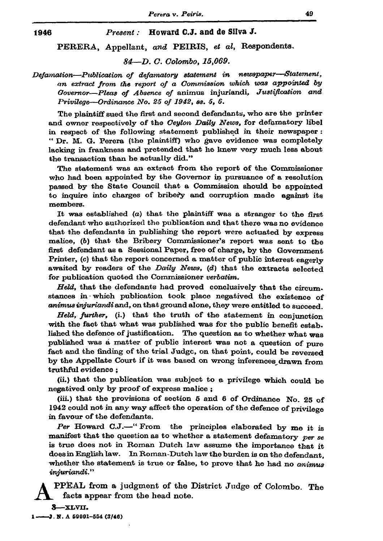## Howard C.J. and de Silva J. Present:

PERERA, Appellant, and PEIRIS, et al, Respondents.

84—D. C. Colombo. 15.069.

Defamation-Publication of defamatory statement in newspaper-Statement, an extract from the report of a Commission which was appointed by Governor-Pleas of Absence of animus injuriandi, Justification and Privilege-Ordinance No. 25 of 1942, ss. 5, 6.

The plaintiff sued the first and second defendants, who are the printer and owner respectively of the Ceylon Daily News, for defamatory libel in respect of the following statement published in their newspaper: "Dr. M. G. Perera (the plaintiff) who gave evidence was completely lacking in frankness and pretended that he knew very much less about the transaction than he actually did."

The statement was an extract from the report of the Commissioner who had been appointed by the Governor in pursuance of a resolution passed by the State Council that a Commission should be appointed to inquire into charges of bribery and corruption made against its members.

It was established (a) that the plaintiff was a stranger to the first defendant who authorized the publication and that there was no evidence that the defendants in publishing the report were actuated by express malice, (b) that the Bribery Commissioner's report was sent to the first defendant as a Sessional Paper, free of charge, by the Government Printer, (c) that the report concerned a matter of public interest eagerly awaited by readers of the Daily News, (d) that the extracts selected for publication quoted the Commissioner verbatim.

Held, that the defendants had proved conclusively that the circumstances in which publication took place negatived the existence of animus injuriandi and, on that ground alone, they were entitled to succeed.

Held, further, (i.) that the truth of the statement in conjunction with the fact that what was published was for the public benefit estab. lished the defence of justification. The question as to whether what was published was a matter of public interest was not a question of pure fact and the finding of the trial Judge, on that point, could be reversed by the Appellate Court if it was based on wrong inferences drawn from truthful evidence;

(ii.) that the publication was subject to a privilege which could be negatived only by proof of express malice;

(iii.) that the provisions of section 5 and 6 of Ordinance No. 25 of 1942 could not in any way affect the operation of the defence of privilege in favour of the defendants.

Per Howard C.J.-"From the principles elaborated by me it is manifest that the question as to whether a statement defamatory per se is true does not in Roman Dutch law assume the importance that it does in English law. In Roman-Dutch law the burden is on the defendant, whether the statement is true or false, to prove that he had no animus injuriandi."

PPEAL from a judgment of the District Judge of Colombo. The facts appear from the head note.

 $3 - xLV$ II.

 $1 - 3$ . N. A 59991-554 (3/46)

1946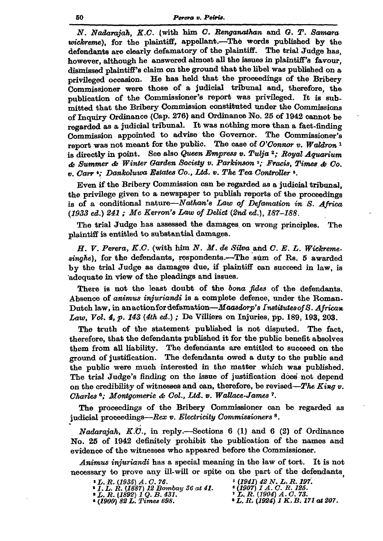N. Nadarajah, K.C. (with him C. Renganathan and G. T. Samara wickreme), for the plaintiff, appellant.-The words published by the defendants are clearly defamatory of the plaintiff. The trial Judge has. however, although he answered almost all the issues in plaintiff's favour. dismissed plaintiff's claim on the ground that the libel was published on a privileged occasion. He has held that the proceedings of the Bribery Commissioner were those of a judicial tribunal and, therefore, the publication of the Commissioner's report was privileged. It is submitted that the Bribery Commission constituted under the Commissions of Inquiry Ordinance (Cap. 276) and Ordinance No. 25 of 1942 cannot be regarded as a judicial tribunal. It was nothing more than a fact-finding Commission appointed to advise the Governor. The Commissioner's report was not meant for the public. The case of O'Connor v. Waldron<sup>1</sup> is directly in point. See also Queen Empress v. Tulja <sup>2</sup>; Royal Aquarium & Summer & Winter Garden Society v. Parkinson<sup>3</sup>; Fracis, Times & Co. v. Carr<sup>4</sup>; Dankoluwa Estates Co., Ltd. v. The Tea Controller<sup>5</sup>.

Even if the Bribery Commission can be regarded as a judicial tribunal. the privilege given to a newspaper to publish reports of the proceedings is of a conditional nature-Nathan's Law of Defamation in S. Africa (1933 ed.) 241; Mc Kerron's Law of Delict (2nd ed.), 187-188.

The trial Judge has assessed the damages on wrong principles. The plaintiff is entitled to substantial damages.

 $H.$  V. Perera,  $K.C.$  (with him  $N.$   $M.$  de Silva and  $C.$   $E.$   $L.$  Wickremesinghe), for the defendants, respondents.—The sum of Rs. 5 awarded by the trial Judge as damages due, if plaintiff can succeed in law, is adequate in view of the pleadings and issues.

There is not the least doubt of the bona fides of the defendants. Absence of animus injuriandi is a complete defence, under the Roman-Dutch law, in an action for defamation-Maasdorp's Institutes of S. African Law, Vol. 4, p. 143 (4th ed.); De Villiers on Injuries, pp. 189, 193, 203.

The truth of the statement published is not disputed. The fact, therefore, that the defendants published it for the public benefit absolves them from all liability. The defendants are entitled to succeed on the ground of justification. The defendants owed a duty to the public and the public were much interested in the matter which was published. The trial Judge's finding on the issue of justification does not depend on the credibility of witnesses and can, therefore, be revised—The King  $v$ . Charles <sup>6</sup>; Montgomerie & Col., Ltd. v. Wallace-James <sup>7</sup>.

The proceedings of the Bribery Commissioner can be regarded as judicial proceedings-Rex v. Electricity Commissioners<sup>8</sup>.

Nadarajah, K.C., in reply.-Sections 6 (1) and 6 (2) of Ordinance No. 25 of 1942 definitely prohibit the publication of the names and evidence of the witnesses who appeared before the Commissioner.

Animus injuriandi has a special meaning in the law of tort. It is not necessary to prove any ill-will or spite on the part of the defendants

- **a** *I*. L. R. (1887) 12 Bombay 36 at 41.<br> **b** *L. R.* (1892) 1 Q. B. 431.<br> **c** (1900) 82 L. Times 698.
- 
- $(1941)$  42 N, L, R, 197. \* (1907) I A. C. R. 125.<br>? L. R. (1904) A. C. 73.<br>\* L. R. (1924) I K. B. 171 at 207.

 $1 L. R. (1935) A. C. 76.$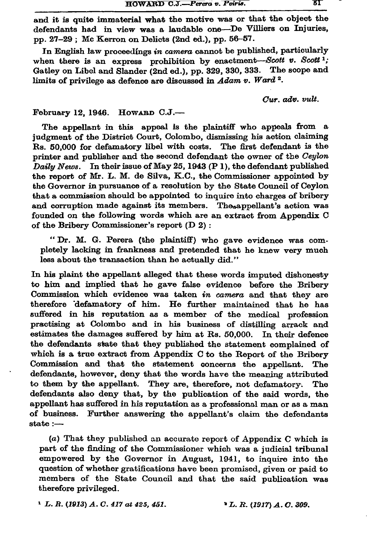and it is quite immaterial what the motive was or that the object the defendants had in view was a laudable one-De Villiers on Injuries, pp. 27-29; Mc Kerron on Delicts (2nd ed.), pp. 56-57.

In English law proceedings in camera cannot be published, particularly when there is an express prohibition by enactment-Scott v. Scott 1; Gatley on Libel and Slander (2nd ed.), pp. 329, 330, 333. The scope and limits of privilege as defence are discussed in Adam v. Ward<sup>2</sup>.

Cur. adv. vult.

## February 12, 1946. HOWARD C.J.-

The appellant in this appeal is the plaintiff who appeals from a judgment of the District Court, Colombo, dismissing his action claiming Rs. 50,000 for defamatory libel with costs. The first defendant is the printer and publisher and the second defendant the owner of the Ceylon Daily News. In their issue of May 25, 1943 (P 1), the defendant published the report of Mr. L. M. de Silva, K.C., the Commissioner appointed by the Governor in pursuance of a resolution by the State Council of Ceylon that a commission should be appointed to inquire into charges of bribery and corruption made against its members. The appellant's action was founded on the following words which are an extract from Appendix C of the Bribery Commissioner's report (D 2):

"Dr. M. G. Perera (the plaintiff) who gave evidence was completely lacking in frankness and pretended that he knew very much less about the transaction than he actually did."

In his plaint the appellant alleged that these words imputed dishonesty to him and implied that he gave false evidence before the Bribery Commission which evidence was taken in camera and that they are therefore defamatory of him. He further maintained that he has suffered in his reputation as a member of the medical profession practising at Colombo and in his business of distilling arrack and estimates the damages suffered by him at Rs. 50,000. In their defence the defendants state that they published the statement complained of which is a true extract from Appendix C to the Report of the Bribery Commission and that the statement concerns the appellant. The defendants, however, deny that the words have the meaning attributed to them by the appellant. They are, therefore, not defamatory. The defendants also deny that, by the publication of the said words, the appellant has suffered in his reputation as a professional man or as a man of business. Further answering the appellant's claim the defendants  $state :=$ 

(a) That they published an accurate report of Appendix C which is part of the finding of the Commissioner which was a judicial tribunal empowered by the Governor in August, 1941, to inquire into the question of whether gratifications have been promised, given or paid to members of the State Council and that the said publication was therefore privileged.

<sup>1</sup> L. R. (1913) A. C. 417 at 425, 451.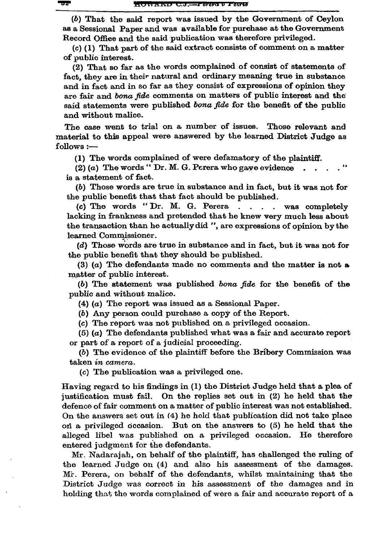(b) That the said report was issued by the Government of Ceylon as a Sessional Paper and was available for purchase at the Government Record Office and the said publication was therefore privileged.

(c) (1) That part of the said extract consists of comment on a matter of public interest.

(2) That so far as the words complained of consist of statements of fact, they are in their natural and ordinary meaning true in substance and in fact and in so far as they consist of expressions of opinion they are fair and bona fide comments on matters of public interest and the said statements were published bona fide for the benefit of the public and without malice.

The case went to trial on a number of issues. Those relevant and material to this appeal were answered by the learned District Judge as follows :-

(1) The words complained of were defamatory of the plaintiff.

 $(2)$   $(a)$  The words "Dr. M. G. Perera who gave evidence is a statement of fact.

(b) Those words are true in substance and in fact, but it was not for the public benefit that that fact should be published.

(c) The words "Dr. M. G. Perera... was completely lacking in frankness and pretended that he knew very much less about the transaction than he actually did ", are expressions of opinion by the learned Commissioner.

(d) Those words are true in substance and in fact, but it was not for the public benefit that they should be published.

 $(3)$   $(a)$  The defendants made no comments and the matter is not a matter of public interest.

(b) The statement was published bona fide for the benefit of the public and without malice.

 $(4)$  (a) The report was issued as a Sessional Paper.

(b) Any person could purchase a copy of the Report.

(c) The report was not published on a privileged occasion.

 $(5)$  (a) The defendants published what was a fair and accurate report or part of a report of a judicial proceeding.

(b) The evidence of the plaintiff before the Bribery Commission was taken in camera.

(c) The publication was a privileged one.

Having regard to his findings in (1) the District Judge held that a plea of justification must fail. On the replies set out in (2) he held that the defence of fair comment on a matter of public interest was not established. On the answers set out in (4) he held that publication did not take place on a privileged occasion. But on the answers to (5) he held that the alleged libel was published on a privileged occasion. He therefore entered judgment for the defendants.

Mr. Nadarajah, on behalf of the plaintiff, has challenged the ruling of the learned Judge on (4) and also his assessment of the damages. Mr. Perera, on behalf of the defendants, whilst maintaining that the District Judge was correct in his assessment of the damages and in holding that the words complained of were a fair and accurate report of a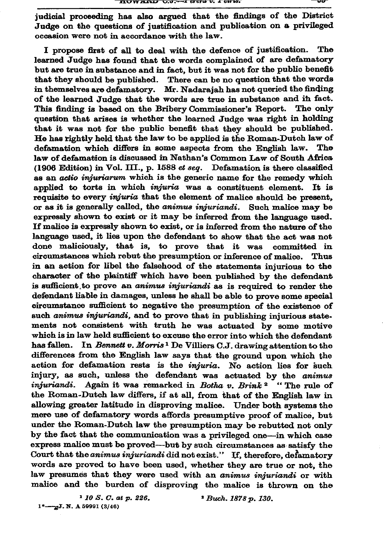judicial proceeding has also argued that the findings of the District Judge on the questions of justification and publication on a privileged occasion were not in accordance with the law.

I propose first of all to deal with the defence of justification. The learned Judge has found that the words complained of are defamatory but are true in substance and in fact, but it was not for the public benefit that they should be published. There can be no question that the words in themselves are defamatory. Mr. Nadarajah has not queried the finding of the learned Judge that the words are true in substance and in fact. This finding is based on the Bribery Commissioner's Report. The only question that arises is whether the learned Judge was right in holding that it was not for the public benefit that they should be published. He has rightly held that the law to be applied is the Roman-Dutch law of defamation which differs in some aspects from the English law. The law of defamation is discussed in Nathan's Common Law of South Africa (1906 Edition) in Vol. III., p. 1588 et seq. Defamation is there classified as an *actio injuriarum* which is the generic name for the remedy which applied to torts in which *injuria* was a constituent element. It is requisite to every *injuria* that the element of malice should be present, or as it is generally called, the animus injuriandi. Such malice may be expressly shown to exist or it may be inferred from the language used. If malice is expressly shown to exist, or is inferred from the nature of the language used, it lies upon the defendant to show that the act was not done maliciously, that is, to prove that it was committed in circumstances which rebut the presumption or inference of malice. Thus in an action for libel the falsehood of the statements injurious to the character of the plaintiff which have been published by the defendant is sufficient to prove an animus injuriandi as is required to render the defendant liable in damages, unless he shall be able to prove some special circumstance sufficient to negative the presumption of the existence of such animus injuriandi, and to prove that in publishing injurious statements not consistent with truth he was actuated by some motive which is in law held sufficient to excuse the error into which the defendant has fallen. In Bennett v. Morris<sup>1</sup> De Villiers C.J. drawing attention to the differences from the English law says that the ground upon which the action for defamation rests is the *injuria*. No action lies for such injury, as such, unless the defendant was actuated by the animus *injuriandi*. Again it was remarked in Botha v. Brink<sup>2</sup> "The rule of the Roman-Dutch law differs, if at all, from that of the English law in allowing greater latitude in disproving malice. Under both systems the mere use of defamatory words affords presumptive proof of malice, but under the Roman-Dutch law the presumption may be rebutted not only by the fact that the communication was a privileged one-in which case express malice must be proved-but by such circumstances as satisfy the Court that the animus injuriandi did not exist." If, therefore, defamatory words are proved to have been used, whether they are true or not, the law presumes that they were used with an animus injuriandi or with malice and the burden of disproving the malice is thrown on the

 $110S$ . C. at p. 226.  $1^*$   $\longrightarrow xJ$ . N. A 59991 (3/46)

<sup>2</sup> Buch. 1878 p. 130.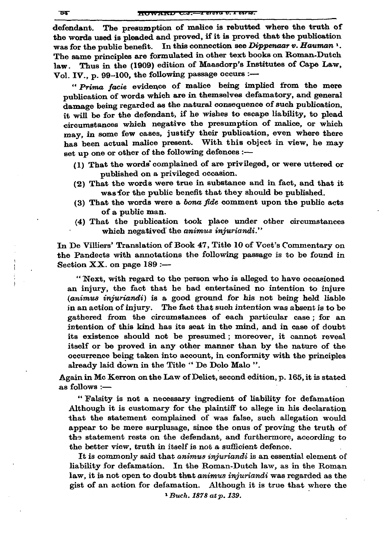The presumption of malice is rebutted where the truth of defendant. the words used is pleaded and proved, if it is proved that the publication In this connection see Dippenaar v. Hauman 1. was for the public benefit. The same principles are formulated in other text books on Roman-Dutch law. Thus in the (1909) edition of Maasdorp's Institutes of Cape Law. Vol. IV., p. 99-100, the following passage occurs :-

" Prima facie evidence of malice being implied from the mere publication of words which are in themselves defamatory, and general damage being regarded as the natural consequence of such publication. it will be for the defendant, if he wishes to escape liability, to plead circumstances which negative the presumption of malice, or which may, in some few cases, justify their publication, even where there has been actual malice present. With this object in view, he may set up one or other of the following defences :-

- (1) That the words complained of are privileged, or were uttered or published on a privileged occasion.
- (2) That the words were true in substance and in fact, and that it was for the public benefit that they should be published.
- (3) That the words were a bona fide comment upon the public acts of a public man.
- (4) That the publication took place under other circumstances which negatived the animus injuriandi."

In De Villiers' Translation of Book 47, Title 10 of Voet's Commentary on the Pandects with annotations the following passage is to be found in Section  $XX$ . on page  $189 :=$ 

"Next, with regard to the person who is alleged to have occasioned an injury, the fact that he had entertained no intention to injure (animus injuriandi) is a good ground for his not being held liable in an action of injury. The fact that such intention was absent is to be gathered from the circumstances of each particular case; for an intention of this kind has its seat in the mind, and in case of doubt its existence should not be presumed; moreover, it cannot reveal itself or be proved in any other manner than by the nature of the occurrence being taken into account, in conformity with the principles already laid down in the Title " De Dolo Malo ".

Again in Mc Kerron on the Law of Delict, second edition, p. 165, it is stated as follows :-

"Falsity is not a necessary ingredient of liability for defamation Although it is customary for the plaintiff to allege in his declaration that the statement complained of was false, such allegation would appear to be mere surplusage, since the onus of proving the truth of the statement rests on the defendant, and furthermore, according to the better view, truth in itself is not a sufficient defence.

It is commonly said that animus injuriandi is an essential element of liability for defamation. In the Roman-Dutch law, as in the Roman law, it is not open to doubt that animus injuriandi was regarded as the gist of an action for defamation. Although it is true that where the  $1$  Buch. 1878 at p. 139.

 $\overline{04}$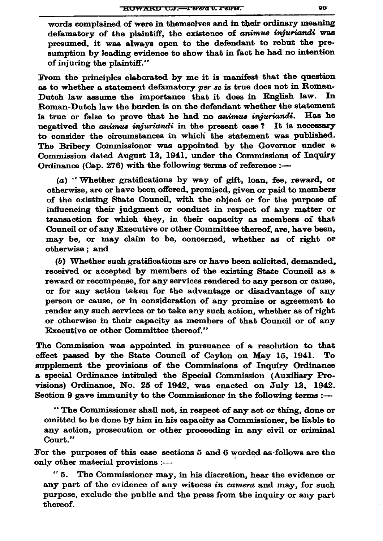words complained of were in themselves and in their ordinary meaning defamatory of the plaintiff, the existence of animus injuriandi was presumed, it was always open to the defendant to rebut the presumption by leading evidence to show that in fact he had no intention of injuring the plaintiff."

From the principles elaborated by me it is manifest that the question as to whether a statement defamatory per se is true does not in Roman-Dutch law assume the importance that it does in English law. In Roman-Dutch law the burden is on the defendant whether the statement is true or false to prove that he had no *animus injuriandi*. Has he negatived the animus injuriandi in the present case? It is necessary to consider the circumstances in which the statement was published. The Bribery Commissioner was appointed by the Governor under a Commission dated August 13, 1941, under the Commissions of Inquiry Ordinance (Cap. 276) with the following terms of reference :-

(a) "Whether gratifications by way of gift, loan, fee, reward, or otherwise, are or have been offered, promised, given or paid to members of the existing State Council, with the object or for the purpose of influencing their judgment or conduct in respect of any matter or transaction for which they, in their capacity as members of that Council or of any Executive or other Committee thereof, are, have been, may be, or may claim to be, concerned, whether as of right or otherwise: and

(b) Whether such gratifications are or have been solicited, demanded, received or accepted by members of the existing State Council as a reward or recompense, for any services rendered to any person or cause, or for any action taken for the advantage or disadvantage of any person or cause, or in consideration of any promise or agreement to render any such services or to take any such action, whether as of right or otherwise in their capacity as members of that Council or of any Executive or other Committee thereof."

The Commission was appointed in pursuance of a resolution to that effect passed by the State Council of Ceylon on May 15, 1941. To supplement the provisions of the Commissions of Inquiry Ordinance a special Ordinance intituled the Special Commission (Auxiliary Provisions) Ordinance, No. 25 of 1942, was enacted on July 13, 1942. Section 9 gave immunity to the Commissioner in the following terms :-

"The Commissioner shall not, in respect of any act or thing, done or omitted to be done by him in his capacity as Commissioner, be liable to any action, prosecution or other proceeding in any civil or criminal Court."

For the purposes of this case sections 5 and 6 worded as follows are the only other material provisions :-

 $~^{44}$  5. The Commissioner may, in his discretion, hear the evidence or any part of the evidence of any witness in camera and may, for such purpose, exclude the public and the press from the inquiry or any part thereof.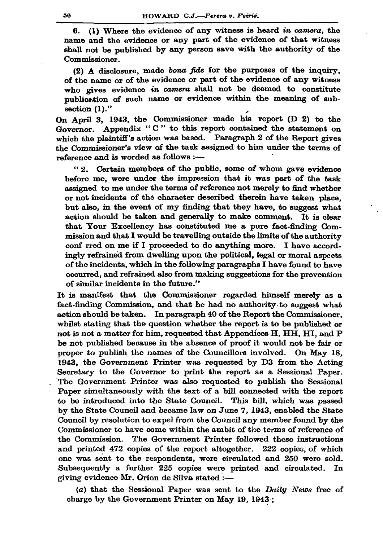6. (1) Where the evidence of any witness is heard in camera, the name and the evidence or any part of the evidence of that witness shall not be published by any person save with the authority of the Commissioner.

(2) A disclosure, made bona fide for the purposes of the inquiry. of the name or of the evidence or part of the evidence of any witness who gives evidence in camera shall not be deemed to constitute publication of such name or evidence within the meaning of subsection  $(1)$ ."

On April 3, 1943, the Commissioner made his report (D 2) to the Governor. Appendix "C" to this report contained the statement on which the plaintiff's action was based. Paragraph 2 of the Report gives the Commissioner's view of the task assigned to him under the terms of reference and is worded as follows :-

 $~^{4}$  2. Certain members of the public, some of whom gave evidence before me, were under the impression that it was part of the task assigned to me under the terms of reference not merely to find whether or not incidents of the character described therein have taken place. but also, in the event of my finding that they have, to suggest what action should be taken and generally to make comment. It is clear that Your Excellency has constituted me a pure fact-finding Commission and that I would be travelling outside the limits of the authority conf rred on me if I proceeded to do anything more. I have accordingly refrained from dwelling upon the political, legal or moral aspects of the incidents, which in the following paragraphs I have found to have occurred, and refrained also from making suggestions for the prevention of similar incidents in the future."

It is manifest that the Commissioner regarded himself merely as a fact-finding Commission, and that he had no authority to suggest what action should be taken. In paragraph 40 of the Report the Commissioner, whilst stating that the question whether the report is to be published or not is not a matter for him, requested that Appendices H, HH, HI, and P be not published because in the absence of proof it would not be fair or proper to publish the names of the Councillors involved. On May 18, 1943, the Government Printer was requested by D3 from the Acting Secretary to the Governor to print the report as a Sessional Paper. The Government Printer was also requested to publish the Sessional Paper simultaneously with the text of a bill connected with the report to be introduced into the State Council. This bill, which was passed by the State Council and became law on June 7, 1943, enabled the State Council by resolution to expel from the Council any member found by the Commissioner to have come within the ambit of the terms of reference of the Commission. The Government Printer followed these instructions and printed 472 copies of the report altogether. 222 copies, of which one was sent to the respondents, were circulated and 250 were sold. Subsequently a further 225 copies were printed and circulated. In giving evidence Mr. Orion de Silva stated :-

(a) that the Sessional Paper was sent to the Daily News free of charge by the Government Printer on May 19, 1943;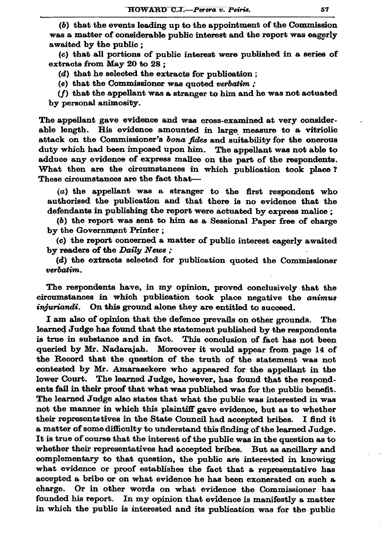$(b)$  that the events leading up to the appointment of the Commission was a matter of considerable public interest and the report was eagerly awaited by the public:

(c) that all portions of public interest were published in a series of extracts from May 20 to 28:

 $(d)$  that he selected the extracts for publication;

(e) that the Commissioner was quoted verbatim;

 $(f)$  that the appellant was a stranger to him and he was not actuated by personal animosity.

The appellant gave evidence and was cross-examined at very considerable length. His evidence amounted in large measure to a vitriolic attack on the Commissioner's bona fides and suitability for the onerous duty which had been imposed upon him. The appellant was not able to adduce any evidence of express malice on the part of the respondents. What then are the circumstances in which publication took place? These circumstances are the fact that-

 $(a)$  the appellant was a stranger to the first respondent who authorised the publication and that there is no evidence that the defendants in publishing the report were actuated by express malice;

(b) the report was sent to him as a Sessional Paper free of charge by the Government Printer:

(c) the report concerned a matter of public interest eagerly awaited by readers of the Daily News ;

(d) the extracts selected for publication quoted the Commissioner verbatim.

The respondents have, in my opinion, proved conclusively that the circumstances in which publication took place negative the animus *injuriandi*. On this ground alone they are entitled to succeed.

I am also of opinion that the defence prevails on other grounds. The learned Judge has found that the statement published by the respondents is true in substance and in fact. This conclusion of fact has not been queried by Mr. Nadarajah. Moreover it would appear from page 14 of the Record that the question of the truth of the statement was not contested by Mr. Amarasekere who appeared for the appellant in the lower Court. The learned Judge, however, has found that the respondents fail in their proof that what was published was for the public benefit. The learned Judge also states that what the public was interested in was not the manner in which this plaintiff gave evidence, but as to whether their representatives in the State Council had accepted bribes. I find it a matter of some difficulty to understand this finding of the learned Judge. It is true of course that the interest of the public was in the question as to whether their representatives had accepted bribes. But as ancillary and complementary to that question, the public are interested in knowing what evidence or proof establishes the fact that a representative has accepted a bribe or on what evidence he has been exonerated on such a charge. Or in other words on what evidence the Commissioner has founded his report. In my opinion that evidence is manifestly a matter in which the public is interested and its publication was for the public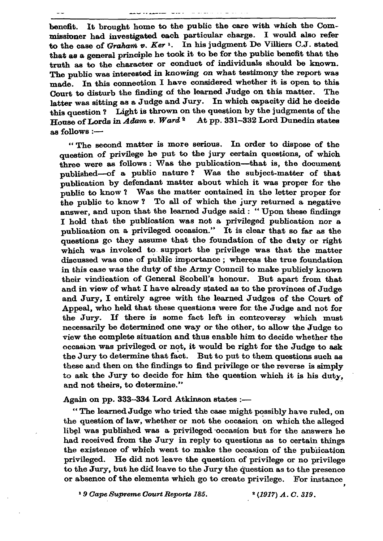benefit. It brought home to the public the care with which the Commissioner had investigated each particular charge. I would also refer to the case of Graham  $v$ . Ker<sup>1</sup>. In his judgment De Villiers C.J. stated that as a general principle he took it to be for the public benefit that the truth as to the character or conduct of individuals should be known. The public was interested in knowing on what testimony the report was made. In this connection I have considered whether it is open to this Court to disturb the finding of the learned Judge on this matter. The latter was sitting as a Judge and Jury. In which capacity did he decide this question? Light is thrown on the question by the judgments of the House of Lords in Adam v. Ward 2 At pp. 331-332 Lord Dunedin states as follows :-

"The second matter is more serious. In order to dispose of the question of privilege he put to the jury certain questions, of which three were as follows: Was the publication---that is, the document published-of a public nature? Was the subject-matter of that publication by defendant matter about which it was proper for the public to know? Was the matter contained in the letter proper for the public to know? To all of which the jury returned a negative answer, and upon that the learned Judge said: "Upon these findings I hold that the publication was not a privileged publication nor a publication on a privileged occasion." It is clear that so far as the questions go they assume that the foundation of the duty or right which was invoked to support the privilege was that the matter discussed was one of public importance; whereas the true foundation in this case was the duty of the Army Council to make publicly known their vindication of General Scobell's honour. But apart from that and in view of what I have already stated as to the provinces of Judge and Jury, I entirely agree with the learned Judges of the Court of Appeal, who held that these questions were for the Judge and not for the Jury. If there is some fact left in controversy which must necessarily be determined one way or the other, to allow the Judge to view the complete situation and thus enable him to decide whether the occasion was privileged or not, it would be right for the Judge to ask the Jury to determine that fact. But to put to them questions such as these and then on the findings to find privilege or the reverse is simply to ask the Jury to decide for him the question which it is his duty. and not theirs, to determine."

## Again on pp. 333-334 Lord Atkinson states :-

"The learned Judge who tried the case might possibly have ruled, on the question of law, whether or not the occasion on which the alleged libel was published was a privileged occasion but for the answers he had received from the Jury in reply to questions as to certain things the existence of which went to make the occasion of the publication privileged. He did not leave the question of privilege or no privilege to the Jury, but he did leave to the Jury the question as to the presence or absence of the elements which go to create privilege. For instance

<sup>1</sup> 9 Cape Supreme Court Reports 185.

 $*(1917) A. C. 319.$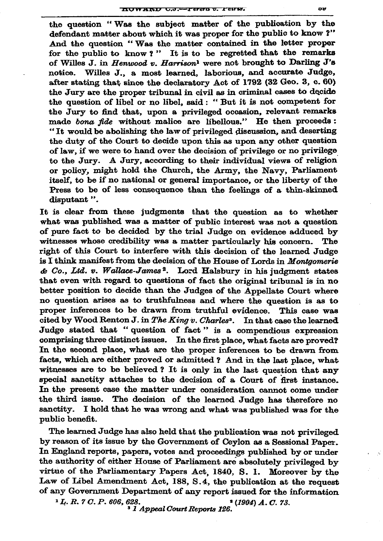the question "Was the subject matter of the publication by the defendant matter about which it was proper for the public to know ?" And the question "Was the matter contained in the letter proper for the public to know?" It is to be regretted that the remarks of Willes J. in Henwood v. Harrison<sup>1</sup> were not brought to Darling J's Willes J., a most learned, laborious, and accurate Judge, notice. after stating that since the declaratory Act of 1792 (32 Geo. 3, c. 60) the Jury are the proper tribunal in civil as in criminal cases to decide the question of libel or no libel, said: "But it is not competent for the Jury to find that, upon a privileged occasion, relevant remarks made bona fide without malice are libellous." He then proceeds: "It would be abolishing the law of privileged discussion, and deserting the duty of the Court to decide upon this as upon any other question of law, if we were to hand over the decision of privilege or no privilege to the Jury. A Jury, according to their individual views of religion or policy, might hold the Church, the Army, the Navy, Parliament itself, to be if no national or general importance, or the liberty of the Press to be of less consequence than the feelings of a thin-skinned disputant".

It is clear from these judgments that the question as to whether what was published was a matter of public interest was not a question of pure fact to be decided by the trial Judge on evidence adduced by witnesses whose credibility was a matter particularly his concern. The right of this Court to interfere with this decision of the learned Judge is I think manifest from the decision of the House of Lords in Montgomerie  $\triangle$  Co., Ltd. v. Wallace-James<sup>2</sup>. Lord Halsbury in his judgment states that even with regard to questions of fact the original tribunal is in no better position to decide than the Judges of the Appellate Court where no question arises as to truthfulness and where the question is as to proper inferences to be drawn from truthful evidence. This case was cited by Wood Renton J. in The King v. Charles<sup>3</sup>. In that case the learned Judge stated that "question of fact" is a compendious expression comprising three distinct issues. In the first place, what facts are proved? In the second place, what are the proper inferences to be drawn from facts. which are either proved or admitted ? And in the last place, what witnesses are to be believed? It is only in the last question that any special sanctity attaches to the decision of a Court of first instance. In the present case the matter under consideration cannot come under the third issue. The decision of the learned Judge has therefore no sanctity. I hold that he was wrong and what was published was for the public benefit.

The learned Judge has also held that the publication was not privileged by reason of its issue by the Government of Ceylon as a Sessional Paper. In England reports, papers, votes and proceedings published by or under the authority of either House of Parliament are absolutely privileged by virtue of the Parliamentary Papers Act, 1840, S. 1. Moreover by the Law of Libel Amendment Act, 188, S.4, the publication at the request of any Government Department of any report issued for the information

 $1 L. R. 7 C. P. 606, 628.$ 

 $(1904)$   $\AA$ ,  $C$ ,  $73$ , 3 1 Appeal Court Reports 126.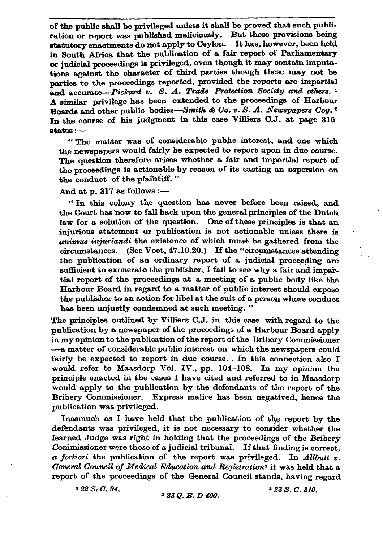of the public shall be privileged unless it shall be proved that such publication or report was published maliciously. But these provisions being statutory enactments do not apply to Ceylon. It has, however, been held in South Africa that the publication of a fair report of Parliamentary or judicial proceedings is privileged, even though it may contain imputations against the character of third parties though these may not be parties to the proceedings reported, provided the reports are impartial and accurate-Pickard v. S. A. Trade Protection Society and others. 1 A similar privilege has been extended to the proceedings of Harbour Boards and other public bodies-Smith & Co. v. S. A. Newspapers Cou. 2 In the course of his judgment in this case Villiers C.J. at page 316 states :-

"The matter was of considerable public interest, and one which the newspapers would fairly be expected to report upon in due course. The question therefore arises whether a fair and impartial report of the proceedings is actionable by reason of its casting an aspersion on the conduct of the plaintiff."

And at p. 317 as follows :-

"In this colony the question has never before been raised, and the Court has now to fall back upon the general principles of the Dutch law for a solution of the question. One of these principles is that an injurious statement or publication is not actionable unless there is animus injuriandi the existence of which must be gathered from the circumstances. (See Voet, 47.10.20.) If the "circumstances attending the publication of an ordinary report of a judicial proceeding are sufficient to exonerate the publisher, I fail to see why a fair and impartial report of the proceedings at a meeting of a public body like the Harbour Board in regard to a matter of public interest should expose the publisher to an action for libel at the suit of a person whose conduct has been unjustly condemned at such meeting."

The principles outlined by Villiers C.J. in this case with regard to the publication by a newspaper of the proceedings of a Harbour Board apply in my opinion to the publication of the report of the Bribery Commissioner -a matter of considerable public interest on which the newspapers could fairly be expected to report in due course. In this connection also I would refer to Maasdorp Vol. IV., pp. 104-108. In my opinion the principle enacted in the cases I have cited and referred to in Maasdorp would apply to the publication by the defendants of the report of the Bribery Commissioner. Express malice has been negatived, hence the publication was privileged.

Inasmuch as I have held that the publication of the report by the defendants was privileged, it is not necessary to consider whether the learned Judge was right in holding that the proceedings of the Bribery Commissioner were those of a judicial tribunal. If that finding is correct, a fortiori the publication of the report was privileged. In Allbutt v. General Council of Medical Education and Registration<sup>3</sup> it was held that a report of the proceedings of the General Council stands, having regard

 $422S, C, 94.$ 

 $323Q. B. D400.$ 

 $423S. C. 310.$